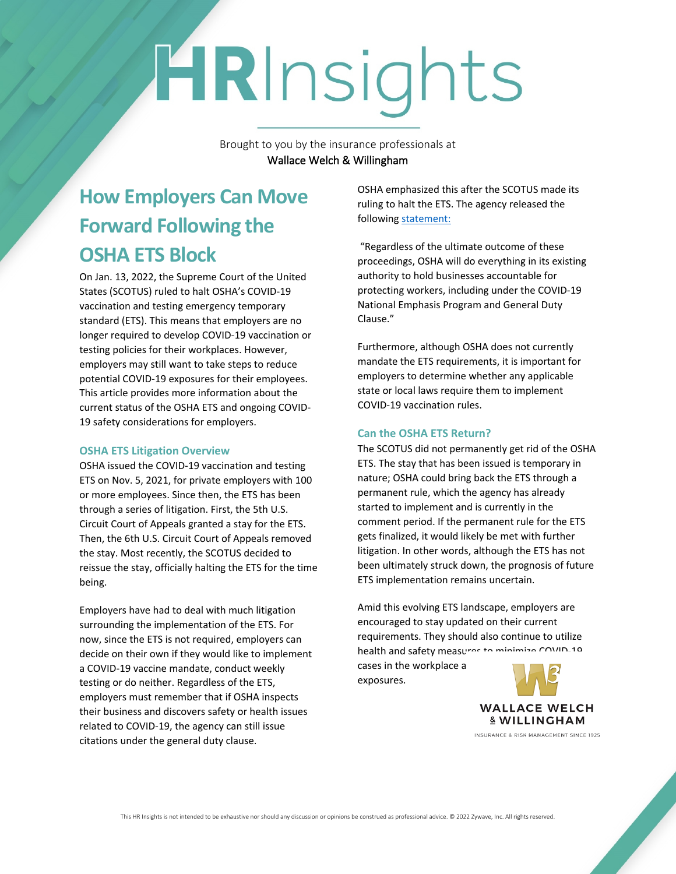# HRInsights

Brought to you by the insurance professionals at **Wallace Welch & Willingham**

## **How Employers Can Move Forward Following the OSHA ETS Block**

On Jan. 13, 2022, the Supreme Court of the United States (SCOTUS) ruled to halt OSHA's COVID-19 vaccination and testing emergency temporary standard (ETS). This means that employers are no longer required to develop COVID-19 vaccination or testing policies for their workplaces. However, employers may still want to take steps to reduce potential COVID-19 exposures for their employees. This article provides more information about the current status of the OSHA ETS and ongoing COVID-19 safety considerations for employers.

#### **OSHA ETS Litigation Overview**

OSHA issued the COVID-19 vaccination and testing ETS on Nov. 5, 2021, for private employers with 100 or more employees. Since then, the ETS has been through a series of litigation. First, the 5th U.S. Circuit Court of Appeals granted a stay for the ETS. Then, the 6th U.S. Circuit Court of Appeals removed the stay. Most recently, the SCOTUS decided to reissue the stay, officially halting the ETS for the time being.

Employers have had to deal with much litigation surrounding the implementation of the ETS. For now, since the ETS is not required, employers can decide on their own if they would like to implement a COVID-19 vaccine mandate, conduct weekly testing or do neither. Regardless of the ETS, employers must remember that if OSHA inspects their business and discovers safety or health issues related to COVID-19, the agency can still issue citations under the general duty clause.

OSHA emphasized this after the SCOTUS made its ruling to halt the ETS. The agency released the following [statement:](https://content.govdelivery.com/accounts/USDOL/bulletins/305940a)

 "Regardless of the ultimate outcome of these proceedings, OSHA will do everything in its existing authority to hold businesses accountable for protecting workers, including under the COVID-19 National Emphasis Program and General Duty Clause."

Furthermore, although OSHA does not currently mandate the ETS requirements, it is important for employers to determine whether any applicable state or local laws require them to implement COVID-19 vaccination rules.

### **Can the OSHA ETS Return?**

The SCOTUS did not permanently get rid of the OSHA ETS. The stay that has been issued is temporary in nature; OSHA could bring back the ETS through a permanent rule, which the agency has already started to implement and is currently in the comment period. If the permanent rule for the ETS gets finalized, it would likely be met with further litigation. In other words, although the ETS has not been ultimately struck down, the prognosis of future ETS implementation remains uncertain.

Amid this evolving ETS landscape, employers are encouraged to stay updated on their current requirements. They should also continue to utilize health and safety measures to minimize COVID-10

cases in the workplace a exposures.

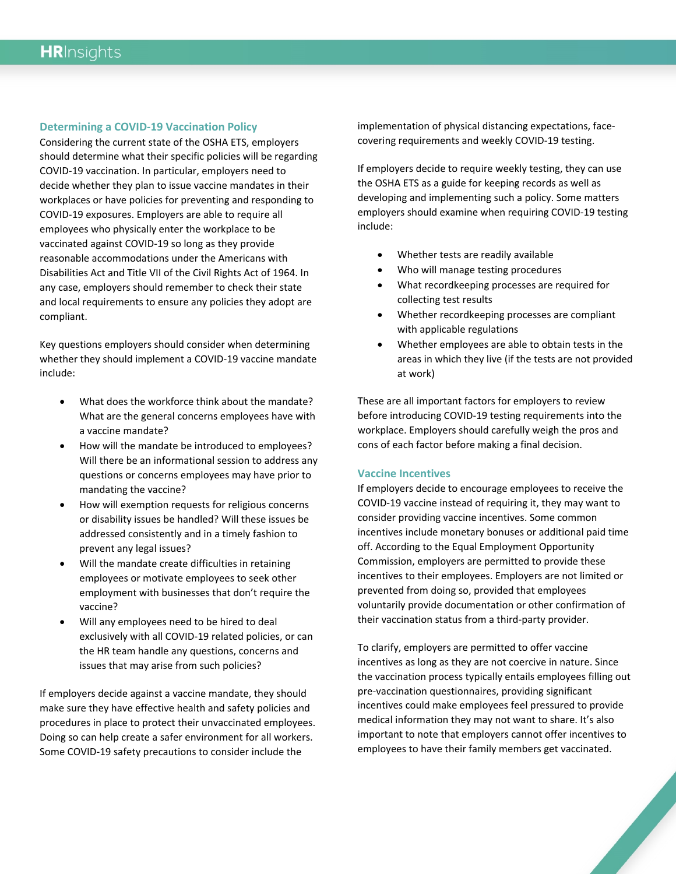#### **Determining a COVID-19 Vaccination Policy**

Considering the current state of the OSHA ETS, employers should determine what their specific policies will be regarding COVID-19 vaccination. In particular, employers need to decide whether they plan to issue vaccine mandates in their workplaces or have policies for preventing and responding to COVID-19 exposures. Employers are able to require all employees who physically enter the workplace to be vaccinated against COVID-19 so long as they provide reasonable accommodations under the Americans with Disabilities Act and Title VII of the Civil Rights Act of 1964. In any case, employers should remember to check their state and local requirements to ensure any policies they adopt are compliant.

Key questions employers should consider when determining whether they should implement a COVID-19 vaccine mandate include:

- What does the workforce think about the mandate? What are the general concerns employees have with a vaccine mandate?
- How will the mandate be introduced to employees? Will there be an informational session to address any questions or concerns employees may have prior to mandating the vaccine?
- How will exemption requests for religious concerns or disability issues be handled? Will these issues be addressed consistently and in a timely fashion to prevent any legal issues?
- Will the mandate create difficulties in retaining employees or motivate employees to seek other employment with businesses that don't require the vaccine?
- Will any employees need to be hired to deal exclusively with all COVID-19 related policies, or can the HR team handle any questions, concerns and issues that may arise from such policies?

If employers decide against a vaccine mandate, they should make sure they have effective health and safety policies and procedures in place to protect their unvaccinated employees. Doing so can help create a safer environment for all workers. Some COVID-19 safety precautions to consider include the

implementation of physical distancing expectations, facecovering requirements and weekly COVID-19 testing.

If employers decide to require weekly testing, they can use the OSHA ETS as a guide for keeping records as well as developing and implementing such a policy. Some matters employers should examine when requiring COVID-19 testing include:

- Whether tests are readily available
- Who will manage testing procedures
- What recordkeeping processes are required for collecting test results
- Whether recordkeeping processes are compliant with applicable regulations
- Whether employees are able to obtain tests in the areas in which they live (if the tests are not provided at work)

These are all important factors for employers to review before introducing COVID-19 testing requirements into the workplace. Employers should carefully weigh the pros and cons of each factor before making a final decision.

#### **Vaccine Incentives**

If employers decide to encourage employees to receive the COVID-19 vaccine instead of requiring it, they may want to consider providing vaccine incentives. Some common incentives include monetary bonuses or additional paid time off. According to the Equal Employment Opportunity Commission, employers are permitted to provide these incentives to their employees. Employers are not limited or prevented from doing so, provided that employees voluntarily provide documentation or other confirmation of their vaccination status from a third-party provider.

To clarify, employers are permitted to offer vaccine incentives as long as they are not coercive in nature. Since the vaccination process typically entails employees filling out pre-vaccination questionnaires, providing significant incentives could make employees feel pressured to provide medical information they may not want to share. It's also important to note that employers cannot offer incentives to employees to have their family members get vaccinated.